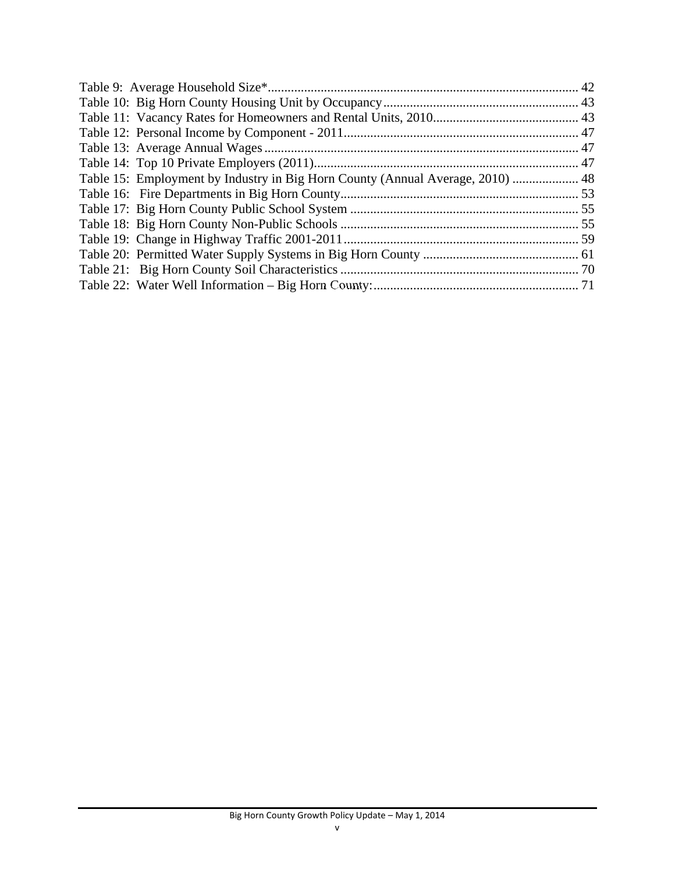| Table 15: Employment by Industry in Big Horn County (Annual Average, 2010)  48 |  |
|--------------------------------------------------------------------------------|--|
|                                                                                |  |
|                                                                                |  |
|                                                                                |  |
|                                                                                |  |
|                                                                                |  |
|                                                                                |  |
|                                                                                |  |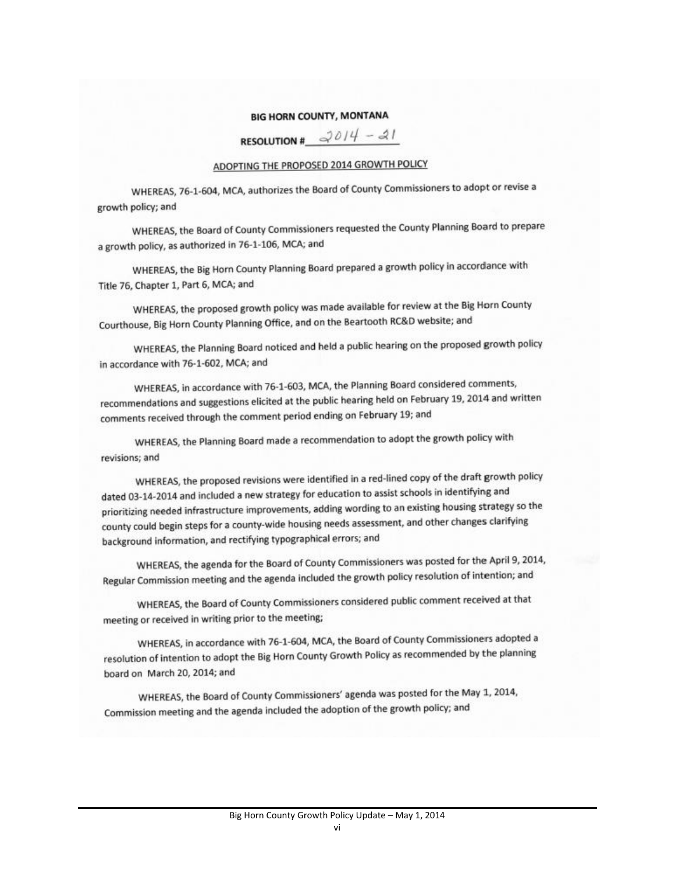### **BIG HORN COUNTY, MONTANA**

RESOLUTION #  $2014 - 21$ 

### ADOPTING THE PROPOSED 2014 GROWTH POLICY

WHEREAS, 76-1-604, MCA, authorizes the Board of County Commissioners to adopt or revise a growth policy; and

WHEREAS, the Board of County Commissioners requested the County Planning Board to prepare a growth policy, as authorized in 76-1-106, MCA; and

WHEREAS, the Big Horn County Planning Board prepared a growth policy in accordance with Title 76, Chapter 1, Part 6, MCA; and

WHEREAS, the proposed growth policy was made available for review at the Big Horn County Courthouse, Big Horn County Planning Office, and on the Beartooth RC&D website; and

WHEREAS, the Planning Board noticed and held a public hearing on the proposed growth policy in accordance with 76-1-602, MCA; and

WHEREAS, in accordance with 76-1-603, MCA, the Planning Board considered comments, recommendations and suggestions elicited at the public hearing held on February 19, 2014 and written comments received through the comment period ending on February 19; and

WHEREAS, the Planning Board made a recommendation to adopt the growth policy with revisions; and

WHEREAS, the proposed revisions were identified in a red-lined copy of the draft growth policy dated 03-14-2014 and included a new strategy for education to assist schools in identifying and prioritizing needed infrastructure improvements, adding wording to an existing housing strategy so the county could begin steps for a county-wide housing needs assessment, and other changes clarifying background information, and rectifying typographical errors; and

WHEREAS, the agenda for the Board of County Commissioners was posted for the April 9, 2014, Regular Commission meeting and the agenda included the growth policy resolution of intention; and

WHEREAS, the Board of County Commissioners considered public comment received at that meeting or received in writing prior to the meeting;

WHEREAS, in accordance with 76-1-604, MCA, the Board of County Commissioners adopted a resolution of intention to adopt the Big Horn County Growth Policy as recommended by the planning board on March 20, 2014; and

WHEREAS, the Board of County Commissioners' agenda was posted for the May 1, 2014, Commission meeting and the agenda included the adoption of the growth policy; and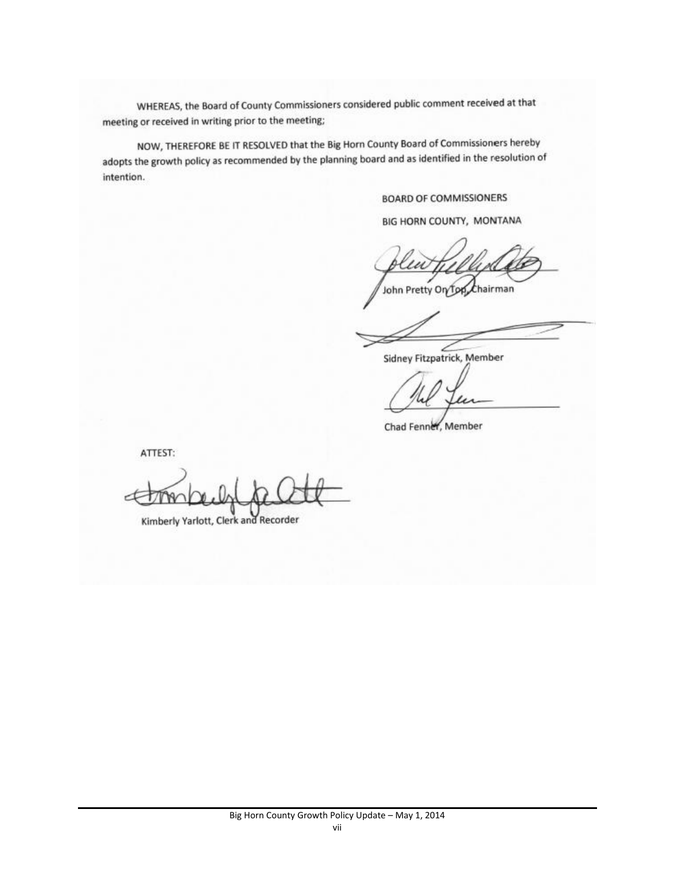WHEREAS, the Board of County Commissioners considered public comment received at that meeting or received in writing prior to the meeting;

NOW, THEREFORE BE IT RESOLVED that the Big Horn County Board of Commissioners hereby adopts the growth policy as recommended by the planning board and as identified in the resolution of intention.

### **BOARD OF COMMISSIONERS**

BIG HORN COUNTY, MONTANA

John Pretty On Top  $t$ hairman

Sidney Fitzpatrick, Member

Chad Fenner, Member

ATTEST:

Kimberly Yarlott, Clerk and Recorder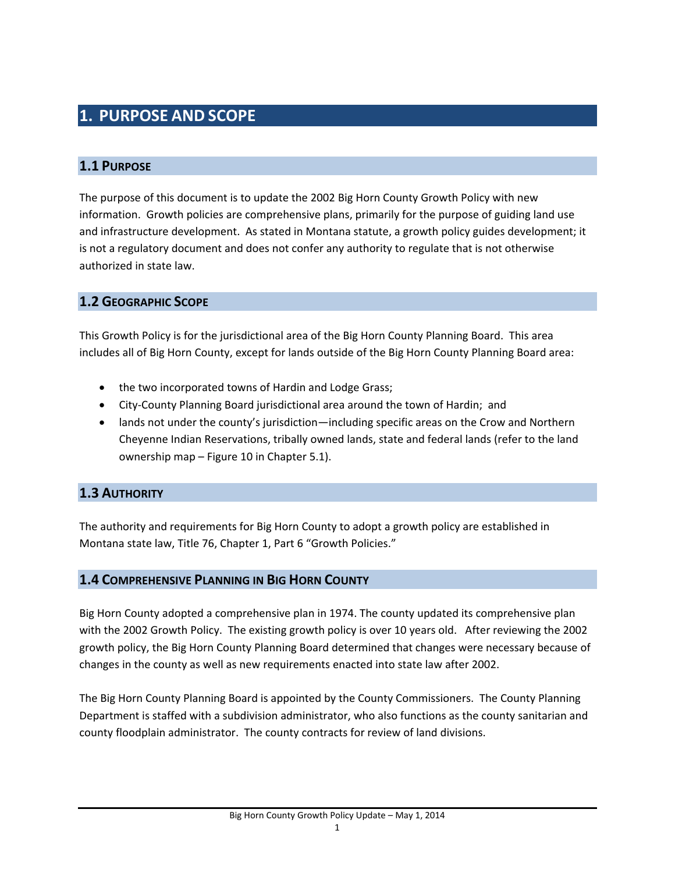# **1. PURPOSE AND SCOPE**

## **1.1 PURPOSE**

The purpose of this document is to update the 2002 Big Horn County Growth Policy with new information. Growth policies are comprehensive plans, primarily for the purpose of guiding land use and infrastructure development. As stated in Montana statute, a growth policy guides development; it is not a regulatory document and does not confer any authority to regulate that is not otherwise authorized in state law.

## **1.2 GEOGRAPHIC SCOPE**

This Growth Policy is for the jurisdictional area of the Big Horn County Planning Board. This area includes all of Big Horn County, except for lands outside of the Big Horn County Planning Board area:

- the two incorporated towns of Hardin and Lodge Grass;
- City-County Planning Board jurisdictional area around the town of Hardin; and
- lands not under the county's jurisdiction—including specific areas on the Crow and Northern Cheyenne Indian Reservations, tribally owned lands, state and federal lands (refer to the land ownership map – Figure 10 in Chapter 5.1).

## **1.3 AUTHORITY**

The authority and requirements for Big Horn County to adopt a growth policy are established in Montana state law, Title 76, Chapter 1, Part 6 "Growth Policies."

## **1.4 COMPREHENSIVE PLANNING IN BIG HORN COUNTY**

Big Horn County adopted a comprehensive plan in 1974. The county updated its comprehensive plan with the 2002 Growth Policy. The existing growth policy is over 10 years old. After reviewing the 2002 growth policy, the Big Horn County Planning Board determined that changes were necessary because of changes in the county as well as new requirements enacted into state law after 2002.

The Big Horn County Planning Board is appointed by the County Commissioners. The County Planning Department is staffed with a subdivision administrator, who also functions as the county sanitarian and county floodplain administrator. The county contracts for review of land divisions.